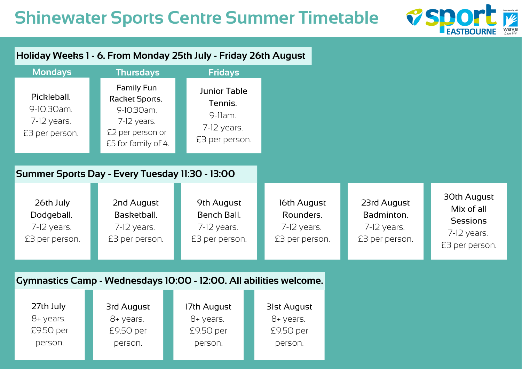## **Shinewater Sports Centre Summer Timetable**



#### **Holiday Weeks 1 - 6. From Monday 25th July - Friday 26th August**

| <b>Mondays</b>                                               | <b>Thursdays</b>                                                                                            | <b>Fridays</b>                                                                  |
|--------------------------------------------------------------|-------------------------------------------------------------------------------------------------------------|---------------------------------------------------------------------------------|
| Pickleball.<br>9-10:30am.<br>$7-12$ years.<br>£3 per person. | <b>Family Fun</b><br>Racket Sports.<br>9-10:30am.<br>7-12 years.<br>£2 per person or<br>£5 for family of 4. | <b>Junior Table</b><br>Tennis.<br>$9$ -llam.<br>$7-12$ years.<br>£3 per person. |

#### **Summer Sports Day - Every Tuesday 11:30 - 13:00**

| 26th July                       | 2nd August                      | 9th August                      | 16th August                     | 23rd August                     | <b>30th August</b>                                 |
|---------------------------------|---------------------------------|---------------------------------|---------------------------------|---------------------------------|----------------------------------------------------|
| Dodgeball.                      | Basketball.                     | <b>Bench Ball.</b>              | Rounders.                       | Badminton.                      | Mix of all                                         |
| $7-12$ years.<br>£3 per person. | $7-12$ years.<br>£3 per person. | $7-12$ years.<br>£3 per person. | $7-12$ years.<br>£3 per person. | $7-12$ years.<br>£3 per person. | <b>Sessions</b><br>$7-12$ years.<br>£3 per person. |

#### **Gymnastics Camp - Wednesdays 10:00 - 12:00. All abilities welcome.**

| 27th July | 3rd August | 17th August | 31st August |
|-----------|------------|-------------|-------------|
| 8+ years. | 8+ years.  | 8+ years.   | 8+ years.   |
| £9.50 per | £9.50 per  | £9.50 per   | £9.50 per   |
| person.   | person.    | person.     | person.     |
|           |            |             |             |